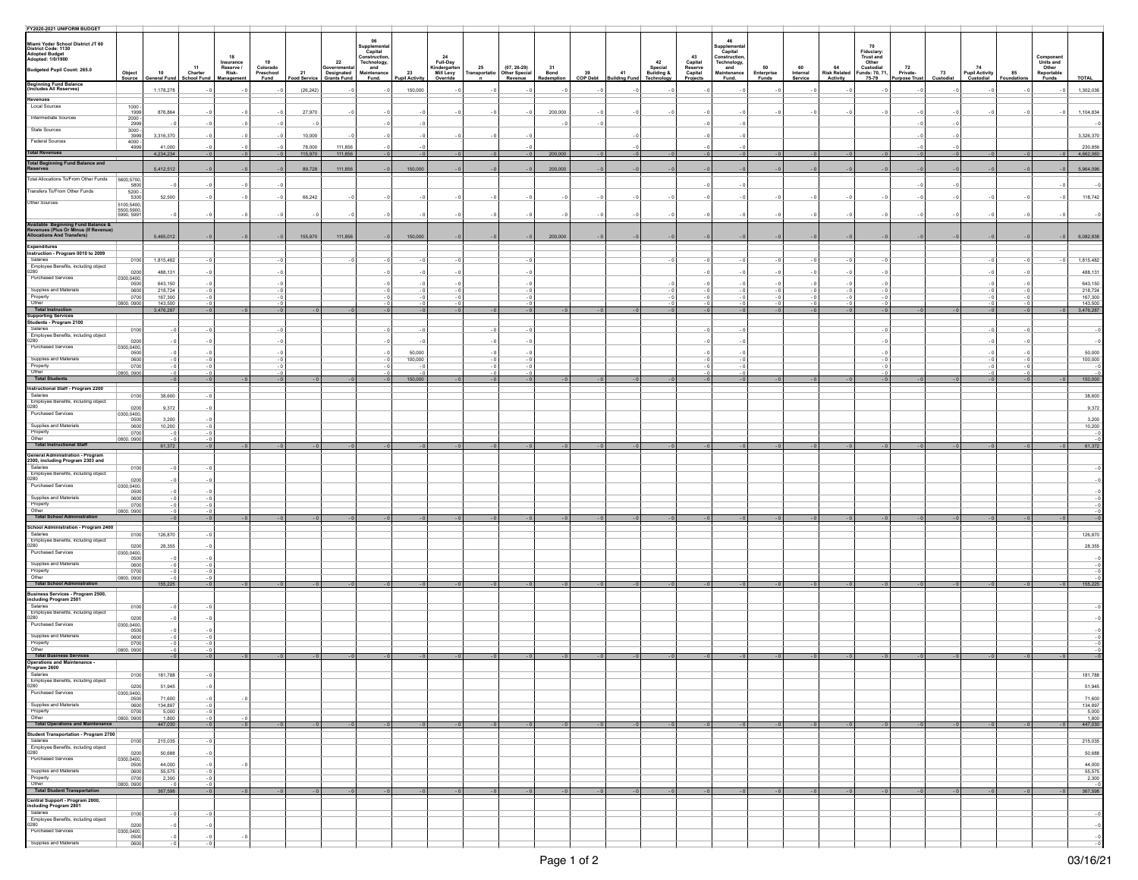| FY2020-2021 UNIFORM BUDGET                                                                               |                         |                     |                                                                 |                               |                    |                                           |                             |                      |                                       |      |                                                            |              |                  |      |                                                      |                               |                             |                     |                           |                                |                               |                                 |           |                                   |           |                                                        |                       |
|----------------------------------------------------------------------------------------------------------|-------------------------|---------------------|-----------------------------------------------------------------|-------------------------------|--------------------|-------------------------------------------|-----------------------------|----------------------|---------------------------------------|------|------------------------------------------------------------|--------------|------------------|------|------------------------------------------------------|-------------------------------|-----------------------------|---------------------|---------------------------|--------------------------------|-------------------------------|---------------------------------|-----------|-----------------------------------|-----------|--------------------------------------------------------|-----------------------|
|                                                                                                          |                         |                     |                                                                 |                               |                    |                                           | 06                          |                      |                                       |      |                                                            |              |                  |      |                                                      |                               | 46                          |                     |                           |                                |                               |                                 |           |                                   |           |                                                        |                       |
| Miami Yoder School District JT 60<br>District Code: 1130<br>Adopted Budget<br>Adopted: 1/0/1900          |                         |                     |                                                                 |                               |                    |                                           | upplement<br>Capital        |                      |                                       |      |                                                            |              |                  |      |                                                      |                               | Capital                     |                     |                           |                                | 70<br>Fiduciary:<br>Trust and |                                 |           |                                   |           |                                                        |                       |
|                                                                                                          |                         |                     | 18                                                              | 19                            |                    | 22                                        | Construction<br>Technology, |                      | 24<br>Full-Day                        |      |                                                            |              |                  |      | 42                                                   | 43                            | Construction<br>Technology, |                     |                           |                                |                               |                                 |           |                                   |           |                                                        |                       |
| Budgeted Pupil Count: 265.0                                                                              |                         | 10                  | Insurance<br>Reserve /<br>Risk-<br>11<br>Charter<br>School Fund | Colorado<br>Preschool<br>Fund |                    | Governmental<br>Designated<br>Grants Fund | and<br>Maintenance          |                      | Kindergarten<br>Mill Levy<br>Override |      | 25 (07, 26-29)<br>Transportatio Other Special<br>n Revenue | $31$<br>Bond |                  |      | Special<br>41 Building &<br>Building Fund Technology | Capital<br>Reserve<br>Capital | and<br>Maintenance          | 50                  | 60<br>Internal<br>Service | 64<br>Risk Related<br>Activity | Other<br>Custodial            | 72<br>Private-<br>Purpose Trust | 73        | 74<br>Pupil Activity<br>Custodial | 85        | Component<br>Units and<br>Other<br>Reportable<br>Funds |                       |
|                                                                                                          | Object<br>Source        | <b>Seneral Fund</b> | ilanageme                                                       |                               | 21<br>Food Service |                                           | Fund.                       | 23<br>Pupil Activity |                                       |      |                                                            | Redemption   | $39$<br>COP Debt |      |                                                      | Projects                      | Fund.                       | Enterprise<br>Funds |                           |                                | Funds: 70, 71                 |                                 | Custodial |                                   | oundation |                                                        | <b>TOTAL</b>          |
| <b>Beginning Fund Balance</b><br>(Includes All Reserves)                                                 |                         | 1,178,278           |                                                                 |                               | (26, 242)          |                                           |                             | 150,000              |                                       |      |                                                            |              |                  |      |                                                      |                               |                             |                     |                           |                                |                               |                                 |           |                                   |           |                                                        | 1,302,036             |
| <b>Revenues</b>                                                                                          |                         |                     |                                                                 |                               |                    |                                           |                             |                      |                                       |      |                                                            |              |                  |      |                                                      |                               |                             |                     |                           |                                |                               |                                 |           |                                   |           |                                                        |                       |
| Local Sources                                                                                            | 1000 -<br>1999          |                     |                                                                 |                               |                    |                                           |                             |                      |                                       |      |                                                            |              |                  |      |                                                      |                               |                             |                     |                           |                                |                               |                                 |           |                                   |           |                                                        |                       |
| Intermediate Sources                                                                                     | $\frac{2000}{2999}$     | 876,864             |                                                                 |                               | 27,970             |                                           |                             |                      |                                       |      |                                                            | 200,000      |                  |      |                                                      |                               |                             |                     |                           |                                |                               |                                 |           |                                   |           |                                                        | 1,104,834             |
| State Sources                                                                                            |                         |                     |                                                                 |                               |                    |                                           |                             |                      |                                       |      |                                                            |              |                  |      |                                                      |                               |                             |                     |                           |                                |                               |                                 |           |                                   |           |                                                        |                       |
| Federal Sources                                                                                          | $\frac{3000}{3999}$     | 3,316,370           |                                                                 |                               | 10,000             |                                           |                             |                      |                                       |      |                                                            |              |                  |      |                                                      |                               |                             |                     |                           |                                |                               |                                 |           |                                   |           |                                                        | 3,326,370             |
|                                                                                                          | $4000 -$<br>4999        | 41,000              |                                                                 |                               | 78,000             | 111,856                                   |                             |                      |                                       |      |                                                            |              |                  |      |                                                      |                               |                             |                     |                           |                                |                               |                                 |           |                                   |           |                                                        | 230,856               |
| <b>Total Revenues</b>                                                                                    |                         | 4,234,234           |                                                                 | $-0$                          | 115,970            | 111,856                                   |                             | $-0$                 |                                       |      |                                                            | 200,000      | $-0$             |      |                                                      |                               | $-0$                        |                     |                           |                                |                               |                                 |           |                                   |           |                                                        | $-0$ 4,662,060        |
| <b>Total Beginning Fund Balance and<br/>Reserves</b>                                                     |                         | 5,412,512           |                                                                 |                               | 89,728             | 111,856                                   |                             | 150,000              |                                       |      |                                                            | 200,000      |                  |      |                                                      |                               |                             |                     |                           |                                |                               |                                 |           |                                   |           |                                                        | 5,964,096             |
| Total Allocations To/From Other Funds                                                                    |                         |                     |                                                                 |                               |                    |                                           |                             |                      |                                       |      |                                                            |              |                  |      |                                                      |                               |                             |                     |                           |                                |                               |                                 |           |                                   |           |                                                        |                       |
|                                                                                                          | 5600,5700,<br>5800      |                     |                                                                 |                               |                    |                                           |                             |                      |                                       |      |                                                            |              |                  |      |                                                      |                               |                             |                     |                           |                                |                               |                                 |           |                                   |           |                                                        |                       |
| Transfers To/From Other Funds                                                                            | 5200 -<br>5300          | 52,500              |                                                                 |                               | 66,242             |                                           |                             |                      |                                       |      |                                                            |              |                  |      |                                                      |                               |                             |                     |                           |                                |                               |                                 |           |                                   |           |                                                        | 118,742               |
| Other Sources                                                                                            | 5100,5400,              |                     |                                                                 |                               |                    |                                           |                             |                      |                                       |      |                                                            |              |                  |      |                                                      |                               |                             |                     |                           |                                |                               |                                 |           |                                   |           |                                                        |                       |
|                                                                                                          | 5500,5900<br>5990, 5991 |                     |                                                                 |                               |                    |                                           |                             |                      |                                       |      |                                                            |              |                  |      |                                                      |                               |                             |                     |                           |                                |                               |                                 |           |                                   |           |                                                        |                       |
|                                                                                                          |                         |                     |                                                                 |                               |                    |                                           |                             |                      |                                       |      |                                                            |              |                  |      |                                                      |                               |                             |                     |                           |                                |                               |                                 |           |                                   |           |                                                        |                       |
| Available Beginning Fund Balance &<br>Revenues (Plus Or Minus (If Revenue)<br>Allocations And Transfers) |                         |                     |                                                                 |                               | 155,970            | 111,856                                   |                             | 150,000              |                                       |      |                                                            |              |                  |      |                                                      |                               |                             |                     |                           |                                |                               |                                 |           |                                   |           |                                                        | 6,082,838             |
| Expenditures                                                                                             |                         | 5,465,012           |                                                                 |                               |                    |                                           |                             |                      |                                       |      |                                                            | 200,000      |                  |      |                                                      |                               |                             |                     |                           |                                |                               |                                 |           |                                   |           |                                                        |                       |
| Instruction - Program 0010 to 2099                                                                       |                         |                     |                                                                 |                               |                    |                                           |                             |                      |                                       |      |                                                            |              |                  |      |                                                      |                               |                             |                     |                           |                                |                               |                                 |           |                                   |           |                                                        |                       |
| Salaries                                                                                                 | 0100                    | 1,815,482           |                                                                 |                               |                    |                                           |                             |                      |                                       |      |                                                            |              |                  |      |                                                      |                               |                             |                     |                           |                                |                               |                                 |           |                                   |           |                                                        | 1,815,482             |
| Employee Benefits, including object<br>0280                                                              | 0200                    | 488,131             |                                                                 |                               |                    |                                           |                             |                      |                                       |      |                                                            |              |                  |      |                                                      |                               |                             |                     |                           |                                |                               |                                 |           |                                   |           |                                                        | 488,131               |
| Purchased Services                                                                                       | 0300,0400,              | 643.150             |                                                                 |                               |                    |                                           |                             |                      |                                       |      |                                                            |              |                  |      |                                                      |                               |                             |                     |                           |                                |                               |                                 |           |                                   |           |                                                        | 643,150               |
| Supplies and Materials                                                                                   | 0600                    | 218,724             |                                                                 |                               |                    |                                           |                             |                      |                                       |      |                                                            |              |                  |      |                                                      |                               |                             |                     |                           |                                |                               |                                 |           |                                   |           |                                                        | 218,724               |
| Property<br>Other                                                                                        | 0700<br>0800, 0900      | 167,300<br>143,500  |                                                                 |                               |                    |                                           |                             |                      |                                       |      |                                                            |              |                  |      |                                                      |                               |                             |                     |                           |                                |                               |                                 |           |                                   |           |                                                        | 167,300<br>143,500    |
| Total Instruction                                                                                        |                         | 3,476,287           |                                                                 |                               |                    |                                           |                             |                      |                                       |      |                                                            |              |                  |      |                                                      |                               |                             |                     |                           |                                |                               |                                 |           |                                   |           |                                                        | 3,476,287             |
| Supporting Services<br>Students - Program 2100                                                           |                         |                     |                                                                 |                               |                    |                                           |                             |                      |                                       |      |                                                            |              |                  |      |                                                      |                               |                             |                     |                           |                                |                               |                                 |           |                                   |           |                                                        |                       |
| Salaries                                                                                                 | 0100                    |                     |                                                                 |                               |                    |                                           |                             |                      |                                       |      |                                                            |              |                  |      |                                                      |                               |                             |                     |                           |                                |                               |                                 |           |                                   |           |                                                        |                       |
| Employee Benefits, including object<br>0280                                                              | 0200                    |                     |                                                                 |                               |                    |                                           |                             |                      |                                       |      |                                                            |              |                  |      |                                                      |                               |                             |                     |                           |                                |                               |                                 |           |                                   |           |                                                        |                       |
| Purchased Services                                                                                       | 0300.0400               |                     |                                                                 |                               |                    |                                           |                             |                      |                                       |      |                                                            |              |                  |      |                                                      |                               |                             |                     |                           |                                |                               |                                 |           |                                   |           |                                                        |                       |
| Supplies and Materials                                                                                   | 0500<br>0600            |                     |                                                                 |                               |                    |                                           |                             | 50,000<br>100,000    |                                       |      |                                                            |              |                  |      |                                                      |                               |                             |                     |                           |                                |                               |                                 |           |                                   |           |                                                        | 50,000<br>100,000     |
| Property<br>Other                                                                                        | 0700                    |                     |                                                                 |                               |                    |                                           |                             |                      |                                       |      |                                                            |              |                  |      |                                                      |                               |                             |                     |                           |                                |                               |                                 |           |                                   |           |                                                        |                       |
| Total Students                                                                                           | 0800, 0900              |                     |                                                                 |                               |                    |                                           |                             | 150,000              |                                       |      |                                                            |              |                  |      |                                                      |                               |                             |                     |                           |                                |                               |                                 |           |                                   |           |                                                        | 150,000               |
| Instructional Staff - Program 2200                                                                       |                         |                     |                                                                 |                               |                    |                                           |                             |                      |                                       |      |                                                            |              |                  |      |                                                      |                               |                             |                     |                           |                                |                               |                                 |           |                                   |           |                                                        |                       |
| Salaries<br>Employee Benefits, including object                                                          | 0100                    | 38,600              |                                                                 |                               |                    |                                           |                             |                      |                                       |      |                                                            |              |                  |      |                                                      |                               |                             |                     |                           |                                |                               |                                 |           |                                   |           |                                                        | 38,600                |
| 0280                                                                                                     | 0200                    | 9,372               |                                                                 |                               |                    |                                           |                             |                      |                                       |      |                                                            |              |                  |      |                                                      |                               |                             |                     |                           |                                |                               |                                 |           |                                   |           |                                                        | 9,372                 |
| Purchased Services                                                                                       | 0300,0400,<br>0500      | 3,200               |                                                                 |                               |                    |                                           |                             |                      |                                       |      |                                                            |              |                  |      |                                                      |                               |                             |                     |                           |                                |                               |                                 |           |                                   |           |                                                        | 3,200                 |
| Supplies and Materials                                                                                   | 0600                    | 10,200              |                                                                 |                               |                    |                                           |                             |                      |                                       |      |                                                            |              |                  |      |                                                      |                               |                             |                     |                           |                                |                               |                                 |           |                                   |           |                                                        | 10,200                |
| Property<br>Other                                                                                        | 0700<br>0800, 0900      |                     |                                                                 |                               |                    |                                           |                             |                      |                                       |      |                                                            |              |                  |      |                                                      |                               |                             |                     |                           |                                |                               |                                 |           |                                   |           |                                                        |                       |
| Total Instructional Staff                                                                                |                         | 61,372              |                                                                 |                               |                    |                                           |                             |                      |                                       |      |                                                            |              |                  |      |                                                      |                               |                             |                     |                           |                                |                               |                                 |           |                                   |           |                                                        | 61,372                |
| General Administration - Program<br>2300, including Program 2303 and                                     |                         |                     |                                                                 |                               |                    |                                           |                             |                      |                                       |      |                                                            |              |                  |      |                                                      |                               |                             |                     |                           |                                |                               |                                 |           |                                   |           |                                                        |                       |
| Salaries                                                                                                 |                         |                     |                                                                 |                               |                    |                                           |                             |                      |                                       |      |                                                            |              |                  |      |                                                      |                               |                             |                     |                           |                                |                               |                                 |           |                                   |           |                                                        |                       |
| Employee Benefits, including object                                                                      | 0100                    |                     |                                                                 |                               |                    |                                           |                             |                      |                                       |      |                                                            |              |                  |      |                                                      |                               |                             |                     |                           |                                |                               |                                 |           |                                   |           |                                                        |                       |
| 0280<br>Purchased Services                                                                               | 0200                    |                     |                                                                 |                               |                    |                                           |                             |                      |                                       |      |                                                            |              |                  |      |                                                      |                               |                             |                     |                           |                                |                               |                                 |           |                                   |           |                                                        |                       |
|                                                                                                          | 0300,0400,              |                     |                                                                 |                               |                    |                                           |                             |                      |                                       |      |                                                            |              |                  |      |                                                      |                               |                             |                     |                           |                                |                               |                                 |           |                                   |           |                                                        |                       |
| Supplies and Materials<br>Property                                                                       | 0600<br>0700            |                     |                                                                 |                               |                    |                                           |                             |                      |                                       |      |                                                            |              |                  |      |                                                      |                               |                             |                     |                           |                                |                               |                                 |           |                                   |           |                                                        |                       |
| Other<br>Total School Administration                                                                     | 0800, 0900              |                     |                                                                 |                               |                    |                                           |                             |                      |                                       |      |                                                            |              |                  |      |                                                      |                               |                             |                     |                           |                                |                               |                                 |           |                                   |           |                                                        |                       |
|                                                                                                          |                         |                     |                                                                 |                               |                    |                                           |                             |                      |                                       |      |                                                            |              |                  |      |                                                      |                               |                             |                     |                           |                                |                               |                                 |           |                                   |           |                                                        |                       |
| School Administration - Program 2400<br>Salaries                                                         | 0100                    | 126,870             |                                                                 |                               |                    |                                           |                             |                      |                                       |      |                                                            |              |                  |      |                                                      |                               |                             |                     |                           |                                |                               |                                 |           |                                   |           |                                                        | 126,870               |
| Employee Benefits, including object<br>0280                                                              | 0200                    | 28,355              |                                                                 |                               |                    |                                           |                             |                      |                                       |      |                                                            |              |                  |      |                                                      |                               |                             |                     |                           |                                |                               |                                 |           |                                   |           |                                                        | 28,355                |
| Purchased Services                                                                                       | 0300,0400,0500          |                     |                                                                 |                               |                    |                                           |                             |                      |                                       |      |                                                            |              |                  |      |                                                      |                               |                             |                     |                           |                                |                               |                                 |           |                                   |           |                                                        |                       |
| Supplies and Materials                                                                                   | 0600                    | - 0                 |                                                                 |                               |                    |                                           |                             |                      |                                       |      |                                                            |              |                  |      |                                                      |                               |                             |                     |                           |                                |                               |                                 |           |                                   |           |                                                        |                       |
| Property                                                                                                 | 0700                    |                     |                                                                 |                               |                    |                                           |                             |                      |                                       |      |                                                            |              |                  |      |                                                      |                               |                             |                     |                           |                                |                               |                                 |           |                                   |           |                                                        |                       |
| Other<br>Total School Administration                                                                     | 0800, 0900              | 155,225             |                                                                 |                               |                    |                                           |                             |                      |                                       |      |                                                            |              |                  |      |                                                      |                               |                             |                     |                           |                                |                               |                                 |           |                                   |           |                                                        | 155,225               |
| Business Services - Program 2500,                                                                        |                         |                     |                                                                 |                               |                    |                                           |                             |                      |                                       |      |                                                            |              |                  |      |                                                      |                               |                             |                     |                           |                                |                               |                                 |           |                                   |           |                                                        |                       |
| including Program 2501<br>Salaries                                                                       |                         |                     |                                                                 |                               |                    |                                           |                             |                      |                                       |      |                                                            |              |                  |      |                                                      |                               |                             |                     |                           |                                |                               |                                 |           |                                   |           |                                                        |                       |
| Employee Benefits, including object                                                                      | 0100                    |                     |                                                                 |                               |                    |                                           |                             |                      |                                       |      |                                                            |              |                  |      |                                                      |                               |                             |                     |                           |                                |                               |                                 |           |                                   |           |                                                        |                       |
| 0280<br>Purchased Services                                                                               | 0200                    |                     |                                                                 |                               |                    |                                           |                             |                      |                                       |      |                                                            |              |                  |      |                                                      |                               |                             |                     |                           |                                |                               |                                 |           |                                   |           |                                                        |                       |
| Supplies and Materials                                                                                   | 0300,0400,              |                     |                                                                 |                               |                    |                                           |                             |                      |                                       |      |                                                            |              |                  |      |                                                      |                               |                             |                     |                           |                                |                               |                                 |           |                                   |           |                                                        |                       |
| Property                                                                                                 | 0600<br>0700            |                     |                                                                 |                               |                    |                                           |                             |                      |                                       |      |                                                            |              |                  |      |                                                      |                               |                             |                     |                           |                                |                               |                                 |           |                                   |           |                                                        |                       |
| Other                                                                                                    | 0800, 0900              |                     |                                                                 |                               |                    |                                           |                             |                      |                                       |      |                                                            |              |                  |      |                                                      |                               |                             |                     |                           |                                |                               |                                 |           |                                   |           |                                                        |                       |
| Total Business Services<br>Operations and Maintenance -<br>Program 2600                                  |                         |                     |                                                                 |                               |                    |                                           |                             |                      |                                       |      |                                                            |              |                  |      |                                                      |                               |                             |                     |                           |                                |                               |                                 |           |                                   |           |                                                        |                       |
|                                                                                                          |                         |                     |                                                                 |                               |                    |                                           |                             |                      |                                       |      |                                                            |              |                  |      |                                                      |                               |                             |                     |                           |                                |                               |                                 |           |                                   |           |                                                        |                       |
| Salaries<br>Employee Benefits, including object                                                          | 0100                    | 181,788             | $-0$                                                            |                               |                    |                                           |                             |                      |                                       |      |                                                            |              |                  |      |                                                      |                               |                             |                     |                           |                                |                               |                                 |           |                                   |           |                                                        | 181,788               |
| 0280<br>Purchased Services                                                                               | 0200                    | 51,945              |                                                                 |                               |                    |                                           |                             |                      |                                       |      |                                                            |              |                  |      |                                                      |                               |                             |                     |                           |                                |                               |                                 |           |                                   |           |                                                        | 51,945                |
|                                                                                                          | 0300,0400,              | 71,600              |                                                                 |                               |                    |                                           |                             |                      |                                       |      |                                                            |              |                  |      |                                                      |                               |                             |                     |                           |                                |                               |                                 |           |                                   |           |                                                        | 71,600                |
| Supplies and Materials<br>Property                                                                       | 0600<br>0700            | 134,897             |                                                                 |                               |                    |                                           |                             |                      |                                       |      |                                                            |              |                  |      |                                                      |                               |                             |                     |                           |                                |                               |                                 |           |                                   |           |                                                        | 134,897               |
| Other                                                                                                    | 0800, 0900              | 5,000<br>1,800      |                                                                 |                               |                    |                                           |                             |                      |                                       |      |                                                            |              |                  |      |                                                      |                               |                             |                     |                           |                                |                               |                                 |           |                                   |           |                                                        | $\frac{5,000}{1,800}$ |
| Total Operations and Maintenance                                                                         |                         | 447,030             | $-0$<br>$-0$                                                    | $-0$                          | $-0$               | $-0$                                      | $-0$                        |                      | $-0$ $-0$                             | $-0$ | $-0$                                                       | $-0$         | $-0$             | $-0$ | $-0$                                                 | $-0$                          | $-0$                        | $-0$                | $-0$                      | $-0$                           | $-0$                          | $-0$                            | $-0$      | $-0$                              | $-0$      |                                                        | $-0$ 447,030          |
| Student Transportation - Program 2700<br>Salaries                                                        |                         |                     |                                                                 |                               |                    |                                           |                             |                      |                                       |      |                                                            |              |                  |      |                                                      |                               |                             |                     |                           |                                |                               |                                 |           |                                   |           |                                                        | 215,035               |
| Employee Benefits, including object                                                                      | 0100                    | 215,035             |                                                                 |                               |                    |                                           |                             |                      |                                       |      |                                                            |              |                  |      |                                                      |                               |                             |                     |                           |                                |                               |                                 |           |                                   |           |                                                        |                       |
| 0280<br>Purchased Services                                                                               | 0200                    | 50,688              |                                                                 |                               |                    |                                           |                             |                      |                                       |      |                                                            |              |                  |      |                                                      |                               |                             |                     |                           |                                |                               |                                 |           |                                   |           |                                                        | 50,688                |
|                                                                                                          | 0300,0400,              | 44,000              |                                                                 |                               |                    |                                           |                             |                      |                                       |      |                                                            |              |                  |      |                                                      |                               |                             |                     |                           |                                |                               |                                 |           |                                   |           |                                                        | 44,000                |
| Supplies and Materials<br>Property                                                                       | 0600<br>0700            | 55,575<br>2,300     |                                                                 |                               |                    |                                           |                             |                      |                                       |      |                                                            |              |                  |      |                                                      |                               |                             |                     |                           |                                |                               |                                 |           |                                   |           |                                                        | 55,575<br>2,300       |
| Other<br>Total Student Transportation                                                                    | 0800, 0900              |                     |                                                                 |                               |                    |                                           |                             |                      |                                       |      |                                                            |              |                  |      |                                                      |                               |                             |                     |                           |                                |                               |                                 |           |                                   |           |                                                        | $-0$                  |
|                                                                                                          |                         | 367,598             |                                                                 | $-0$                          |                    |                                           | $-0$                        | $-0$                 |                                       |      |                                                            |              | $-0$             |      |                                                      | $-0$                          |                             |                     |                           |                                |                               |                                 | $-0$      |                                   | $-0$      | $-0$                                                   | 367,598               |
| Central Support - Program 2800,<br>including Program 2801                                                |                         |                     |                                                                 |                               |                    |                                           |                             |                      |                                       |      |                                                            |              |                  |      |                                                      |                               |                             |                     |                           |                                |                               |                                 |           |                                   |           |                                                        |                       |
| Salaries                                                                                                 | 0100                    |                     |                                                                 |                               |                    |                                           |                             |                      |                                       |      |                                                            |              |                  |      |                                                      |                               |                             |                     |                           |                                |                               |                                 |           |                                   |           |                                                        |                       |
| Employee Benefits, including object<br>0280                                                              | 0200                    |                     |                                                                 |                               |                    |                                           |                             |                      |                                       |      |                                                            |              |                  |      |                                                      |                               |                             |                     |                           |                                |                               |                                 |           |                                   |           |                                                        | $\cdot$ 0             |
| Purchased Services                                                                                       | 0300,0400,              | - 0                 |                                                                 |                               |                    |                                           |                             |                      |                                       |      |                                                            |              |                  |      |                                                      |                               |                             |                     |                           |                                |                               |                                 |           |                                   |           |                                                        | $-0$                  |
| Supplies and Materials                                                                                   | 0600                    |                     |                                                                 |                               |                    |                                           |                             |                      |                                       |      |                                                            |              |                  |      |                                                      |                               |                             |                     |                           |                                |                               |                                 |           |                                   |           |                                                        |                       |